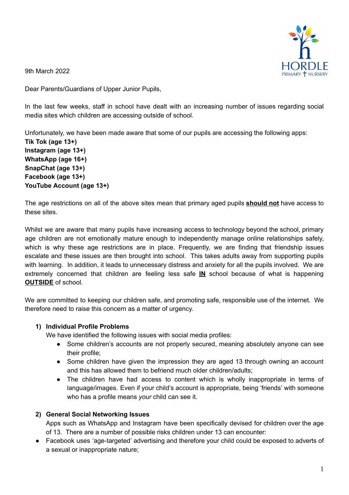

9th March 2022

Dear Parents/Guardians of Upper Junior Pupils,

In the last few weeks, staff in school have dealt with an increasing number of issues regarding social media sites which children are accessing outside of school.

Unfortunately, we have been made aware that some of our pupils are accessing the following apps:

**Tik Tok (age 13+) Instagram (age 13+) WhatsApp (age 16+) SnapChat (age 13+) Facebook (age 13+) YouTube Account (age 13+)**

The age restrictions on all of the above sites mean that primary aged pupils **should not** have access to these sites.

Whilst we are aware that many pupils have increasing access to technology beyond the school, primary age children are not emotionally mature enough to independently manage online relationships safely, which is why these age restrictions are in place. Frequently, we are finding that friendship issues escalate and these issues are then brought into school. This takes adults away from supporting pupils with learning. In addition, it leads to unnecessary distress and anxiety for all the pupils involved. We are extremely concerned that children are feeling less safe **IN** school because of what is happening **OUTSIDE** of school.

We are committed to keeping our children safe, and promoting safe, responsible use of the internet. We therefore need to raise this concern as a matter of urgency.

## **1) Individual Profile Problems**

We have identified the following issues with social media profiles:

- Some children's accounts are not properly secured, meaning absolutely anyone can see their profile;
- Some children have given the impression they are aged 13 through owning an account and this has allowed them to befriend much older children/adults;
- The children have had access to content which is wholly inappropriate in terms of language/images. Even if your child's account is appropriate, being 'friends' with someone who has a profile means *your* child can see it.

## **2) General Social Networking Issues**

Apps such as WhatsApp and Instagram have been specifically devised for children over the age of 13. There are a number of possible risks children under 13 can encounter:

● Facebook uses 'age-targeted' advertising and therefore your child could be exposed to adverts of a sexual or inappropriate nature;